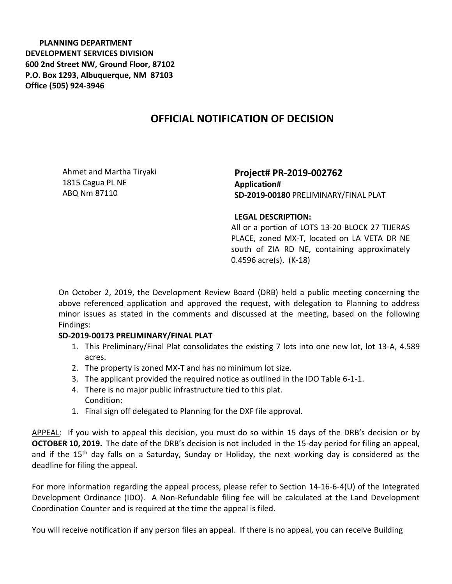**PLANNING DEPARTMENT DEVELOPMENT SERVICES DIVISION 600 2nd Street NW, Ground Floor, 87102 P.O. Box 1293, Albuquerque, NM 87103 Office (505) 924-3946** 

## **OFFICIAL NOTIFICATION OF DECISION**

Ahmet and Martha Tiryaki 1815 Cagua PL NE ABQ Nm 87110

**Project# PR-2019-002762 Application# SD-2019-00180** PRELIMINARY/FINAL PLAT

## **LEGAL DESCRIPTION:**

All or a portion of LOTS 13-20 BLOCK 27 TIJERAS PLACE, zoned MX-T, located on LA VETA DR NE south of ZIA RD NE, containing approximately 0.4596 acre(s). (K-18)

On October 2, 2019, the Development Review Board (DRB) held a public meeting concerning the above referenced application and approved the request, with delegation to Planning to address minor issues as stated in the comments and discussed at the meeting, based on the following Findings:

## **SD-2019-00173 PRELIMINARY/FINAL PLAT**

- 1. This Preliminary/Final Plat consolidates the existing 7 lots into one new lot, lot 13-A, 4.589 acres.
- 2. The property is zoned MX-T and has no minimum lot size.
- 3. The applicant provided the required notice as outlined in the IDO Table 6-1-1.
- 4. There is no major public infrastructure tied to this plat. Condition:
- 1. Final sign off delegated to Planning for the DXF file approval.

APPEAL: If you wish to appeal this decision, you must do so within 15 days of the DRB's decision or by **OCTOBER 10, 2019.** The date of the DRB's decision is not included in the 15-day period for filing an appeal, and if the 15<sup>th</sup> day falls on a Saturday, Sunday or Holiday, the next working day is considered as the deadline for filing the appeal.

For more information regarding the appeal process, please refer to Section 14-16-6-4(U) of the Integrated Development Ordinance (IDO). A Non-Refundable filing fee will be calculated at the Land Development Coordination Counter and is required at the time the appeal is filed.

You will receive notification if any person files an appeal. If there is no appeal, you can receive Building